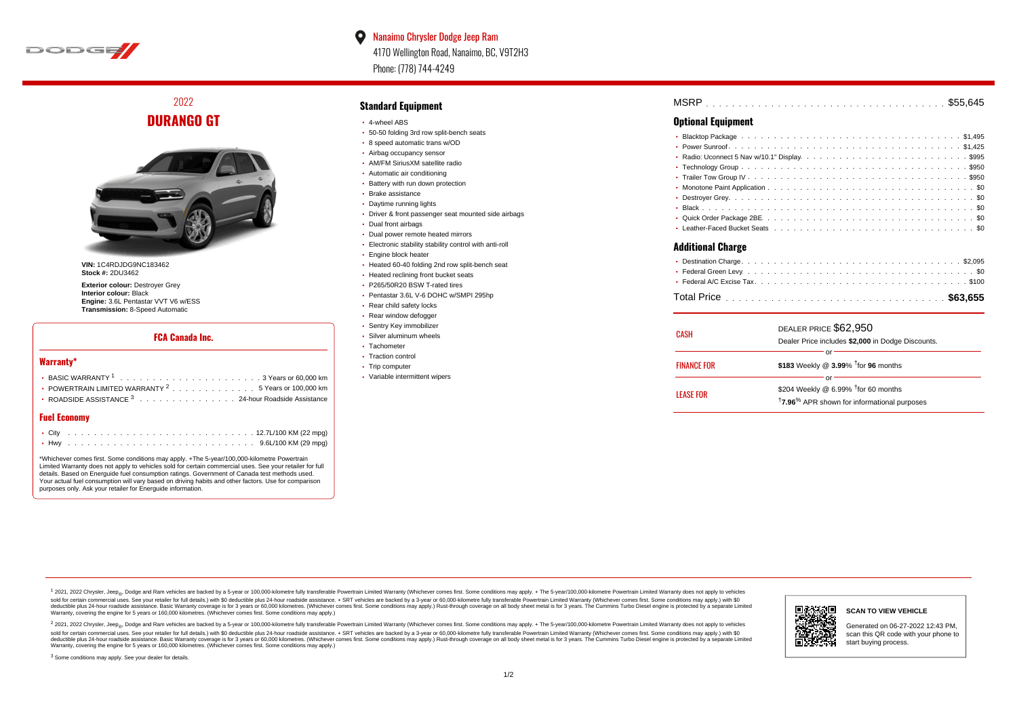

 $\bullet$ Nanaimo Chrysler Dodge Jeep Ram 4170 Wellington Road, Nanaimo, BC, V9T2H3 Phone: (778) 744-4249

2022 **DURANGO GT**



**VIN:** 1C4RDJDG9NC183462 **Stock #:** 2DU3462

**Exterior colour:** Destroyer Grey **Interior colour:** Black **Engine:** 3.6L Pentastar VVT V6 w/ESS **Transmission:** 8-Speed Automatic

### **FCA Canada Inc.**

#### **Warranty\***

| • POWERTRAIN LIMITED WARRANTY $2 \ldots \ldots \ldots \ldots \ldots 5$ Years or 100,000 km |  |  |  |  |  |
|--------------------------------------------------------------------------------------------|--|--|--|--|--|
| • ROADSIDE ASSISTANCE 3 24-hour Roadside Assistance                                        |  |  |  |  |  |

## **Fuel Economy**

\*Whichever comes first. Some conditions may apply. +The 5-year/100,000-kilometre Powertrain Limited Warranty does not apply to vehicles sold for certain commercial uses. See your retailer for full details. Based on Energuide fuel consumption ratings. Government of Canada test methods used. Your actual fuel consumption will vary based on driving habits and other factors. Use for comparison purposes only. Ask your retailer for Energuide information.

#### **Standard Equipment**

- 4-wheel ABS
- 50-50 folding 3rd row split-bench seats
- 8 speed automatic trans w/OD
- Airbag occupancy sensor
- AM/FM SiriusXM satellite radio
- Automatic air conditioning
- Battery with run down protection
- Brake assistance
- Daytime running lights
- Driver & front passenger seat mounted side airbags
- Dual front airbags
- Dual power remote heated mirrors
- Electronic stability stability control with anti-roll
- **Engine block heater**
- Heated 60-40 folding 2nd row split-bench seat
- Heated reclining front bucket seats
- P265/50R20 BSW T-rated tires
- Pentastar 3.6L V-6 DOHC w/SMPI 295hp
- Rear child safety locks
- Rear window defogger
- **· Sentry Key immobilizer**
- Silver aluminum wheels • Tachometer
- 
- Traction control • Trip computer
- 
- Variable intermittent wipers

| <b>MSRP</b> |  |  |  |  |  |  |  |  |  |  |  |  |  |  |  |  |  |  |  |  |  |  |
|-------------|--|--|--|--|--|--|--|--|--|--|--|--|--|--|--|--|--|--|--|--|--|--|
|             |  |  |  |  |  |  |  |  |  |  |  |  |  |  |  |  |  |  |  |  |  |  |

# **Optional Equipment**

#### **Additional Charge**

| CASH               | DEALER PRICE \$62,950<br>Dealer Price includes \$2,000 in Dodge Discounts. |  |
|--------------------|----------------------------------------------------------------------------|--|
|                    | ОГ                                                                         |  |
| <b>FINANCE FOR</b> | \$183 Weekly @ $3.99\%$ <sup>†</sup> for 96 months                         |  |
|                    | or                                                                         |  |
| <b>LEASE FOR</b>   | \$204 Weekly @ 6.99% $†$ for 60 months                                     |  |
|                    | <sup>†</sup> 7.96 <sup>%</sup> APR shown for informational purposes        |  |

1 2021, 2022 Chrysler, Jeep.... Dodge and Ram vehicles are backed by a 5-year or 100,000-kilometre fully transferable Powertrain Limited Warranty (Whichever comes first. Some conditions may apply. + The 5-year/100,000-kilo sold for certain commercial uses. See your retailer for full details.) with \$0 deductible plus 24-hour roadside assistance. + SRT vehicles are backed by a 3-year or 60,000-kilometre fully transferable Powertrain Limited Wa detuctible plus 24-hour roadside assistance. Basic Warranty coverage is for 3 years or 60,000 kilometres. Whichever comes first. Some conditions may apply.) Rust-through coverage on all body sheet metals for 3 years. The C Warranty, covering the engine for 5 years or 160,000 kilometres. (Whichever comes first. Some conditions may apply.)





**SCAN TO VIEW VEHICLE**

Generated on 06-27-2022 12:43 PM, scan this QR code with your phone to start buying process.

<sup>3</sup> Some conditions may apply. See your dealer for details.